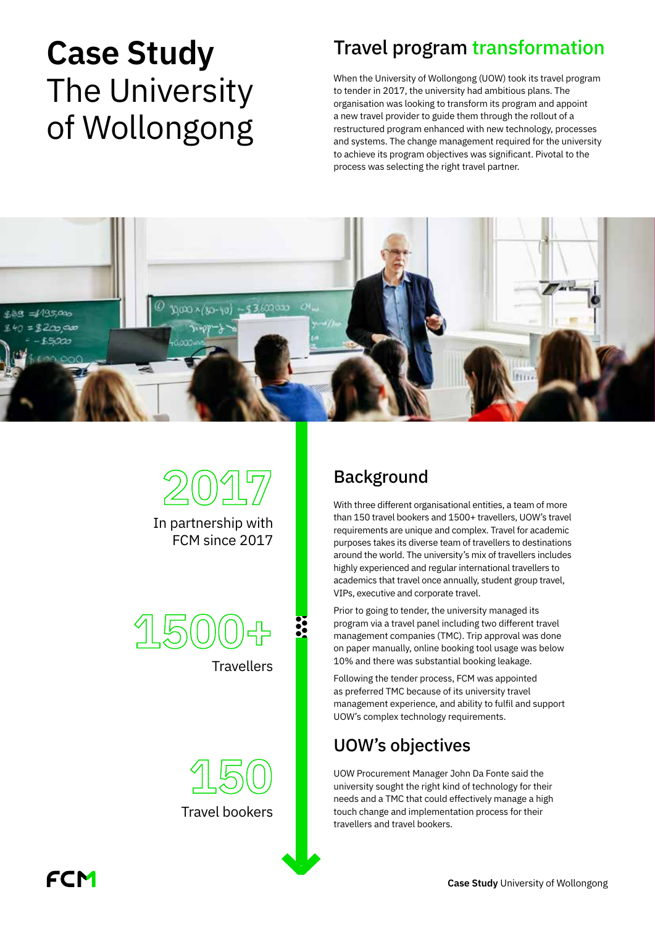# Case Study Travel program transformation The University of Wollongong

When the University of Wollongong (UOW) took its travel program to tender in 2017, the university had ambitious plans. The organisation was looking to transform its program and appoint a new travel provider to guide them through the rollout of a restructured program enhanced with new technology, processes and systems. The change management required for the university to achieve its program objectives was significant. Pivotal to the process was selecting the right travel partner.







**Travellers** 

**150** Travel bookers

## Background

With three different organisational entities, a team of more than 150 travel bookers and 1500+ travellers, UOW's travel requirements are unique and complex. Travel for academic purposes takes its diverse team of travellers to destinations around the world. The university's mix of travellers includes highly experienced and regular international travellers to academics that travel once annually, student group travel, VIPs, executive and corporate travel.

Prior to going to tender, the university managed its program via a travel panel including two different travel management companies (TMC). Trip approval was done on paper manually, online booking tool usage was below 10% and there was substantial booking leakage.

Following the tender process, FCM was appointed as preferred TMC because of its university travel management experience, and ability to fulfil and support UOW's complex technology requirements.

## UOW's objectives

UOW Procurement Manager John Da Fonte said the university sought the right kind of technology for their needs and a TMC that could effectively manage a high touch change and implementation process for their travellers and travel bookers.

FCM